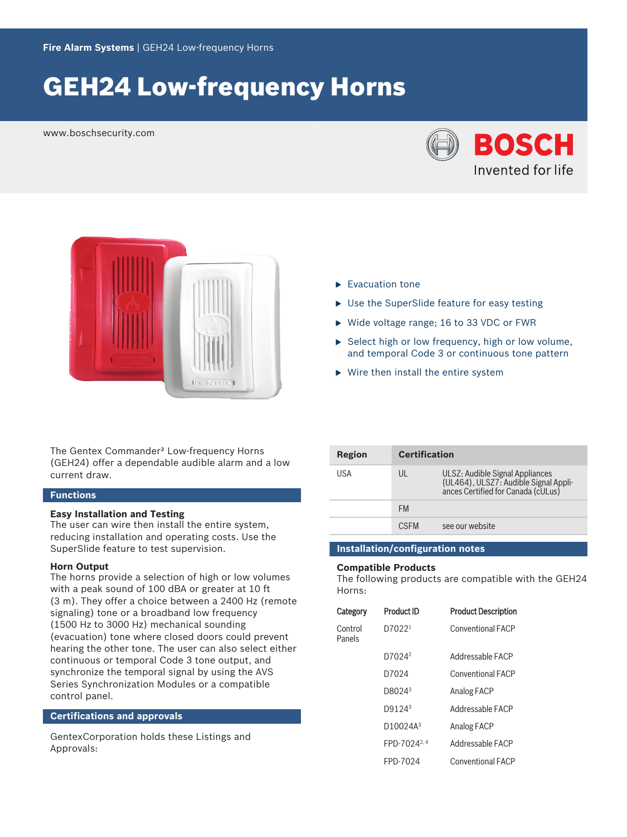# **GEH24 Low-frequency Horns**

www.boschsecurity.com





The Gentex Commander<sup>2</sup> Low-frequency Horns (GEH24) offer a dependable audible alarm and a low current draw.

#### **Functions**

#### **Easy Installation and Testing**

The user can wire then install the entire system, reducing installation and operating costs. Use the SuperSlide feature to test supervision.

#### **Horn Output**

The horns provide a selection of high or low volumes with a peak sound of 100 dBA or greater at 10 ft (3 m). They offer a choice between a 2400 Hz (remote signaling) tone or a broadband low frequency (1500 Hz to 3000 Hz) mechanical sounding (evacuation) tone where closed doors could prevent hearing the other tone. The user can also select either continuous or temporal Code 3 tone output, and synchronize the temporal signal by using the AVS Series Synchronization Modules or a compatible control panel.

#### **Certifications and approvals**

GentexCorporation holds these Listings and Approvals:

- $\blacktriangleright$  Evacuation tone
- $\blacktriangleright$  Use the SuperSlide feature for easy testing
- $\triangleright$  Wide voltage range; 16 to 33 VDC or FWR
- $\triangleright$  Select high or low frequency, high or low volume, and temporal Code 3 or continuous tone pattern
- $\triangleright$  Wire then install the entire system

| Region | <b>Certification</b> |                                                                                                                |
|--------|----------------------|----------------------------------------------------------------------------------------------------------------|
| USA    | UL                   | ULSZ: Audible Signal Appliances<br>(UL464), ULSZ7: Audible Signal Appli-<br>ances Certified for Canada (cULus) |
|        | <b>FM</b>            |                                                                                                                |
|        | <b>CSEM</b>          | see our website                                                                                                |

#### **Installation/configuration notes**

#### **Compatible Products**

The following products are compatible with the GEH24 Horns:

| Category          | <b>Product ID</b>       | <b>Product Description</b> |
|-------------------|-------------------------|----------------------------|
| Control<br>Panels | D70221                  | <b>Conventional FACP</b>   |
|                   | D7024 <sup>2</sup>      | Addressable FACP           |
|                   | D7024                   | <b>Conventional FACP</b>   |
|                   | D8024 <sup>3</sup>      | Analog FACP                |
|                   | D9124 <sup>3</sup>      | Addressable FACP           |
|                   | D10024A <sup>3</sup>    | Analog FACP                |
|                   | FPD-7024 <sup>2,4</sup> | Addressable FACP           |
|                   | FPD-7024                | <b>Conventional FACP</b>   |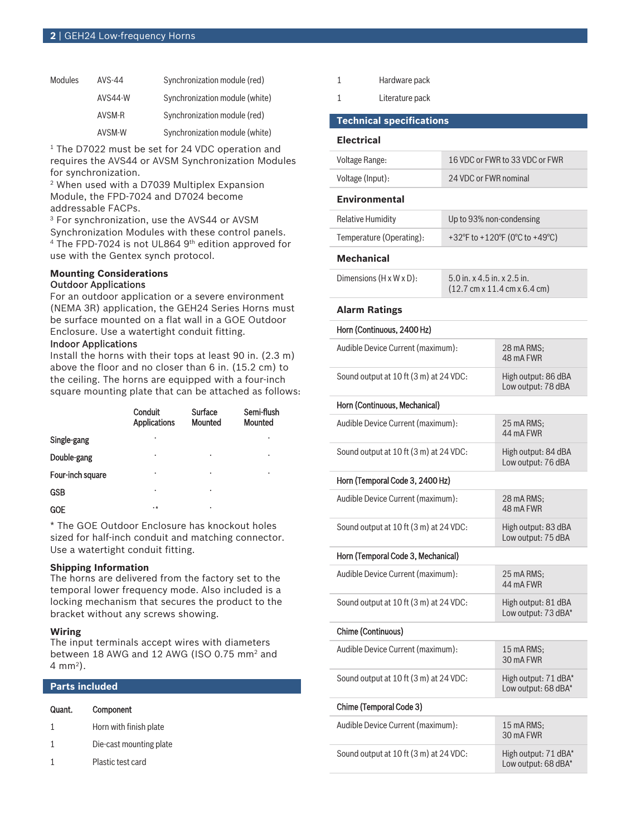| Modules | AVS-44         | Synchronization module (red)   |
|---------|----------------|--------------------------------|
|         | <b>AVS44-W</b> | Synchronization module (white) |
|         | AVSM-R         | Synchronization module (red)   |
|         | AVSM-W         | Synchronization module (white) |

<sup>1</sup> The D7022 must be set for 24 VDC operation and requires the AVS44 or AVSM Synchronization Modules for synchronization.

2 When used with a D7039 Multiplex Expansion Module, the FPD-7024 and D7024 become addressable FACPs.

3 For synchronization, use the AVS44 or AVSM Synchronization Modules with these control panels. 4 The FPD-7024 is not UL864 9th edition approved for use with the Gentex synch protocol.

#### **Mounting Considerations** Outdoor Applications

For an outdoor application or a severe environment (NEMA 3R) application, the GEH24 Series Horns must be surface mounted on a flat wall in a GOE Outdoor Enclosure. Use a watertight conduit fitting.

### Indoor Applications

Install the horns with their tops at least 90 in. (2.3 m) above the floor and no closer than 6 in. (15.2 cm) to the ceiling. The horns are equipped with a four-inch square mounting plate that can be attached as follows:

|                  | Conduit<br><b>Applications</b> | Surface<br>Mounted | Semi-flush<br><b>Mounted</b> |
|------------------|--------------------------------|--------------------|------------------------------|
| Single-gang      | ٠                              |                    | ٠                            |
| Double-gang      | ٠                              | ٠                  | ٠                            |
| Four-inch square | ٠                              | ٠                  | ٠                            |
| <b>GSB</b>       | ٠                              | ٠                  |                              |
| <b>GOE</b>       | $\cdot$ *                      | ٠                  |                              |

\* The GOE Outdoor Enclosure has knockout holes sized for half-inch conduit and matching connector. Use a watertight conduit fitting.

### **Shipping Information**

The horns are delivered from the factory set to the temporal lower frequency mode. Also included is a locking mechanism that secures the product to the bracket without any screws showing.

#### **Wiring**

The input terminals accept wires with diameters between 18 AWG and 12 AWG (ISO 0.75 mm<sup>2</sup> and 4 mm<sup>2</sup> ).

| <b>Parts included</b> |                         |  |
|-----------------------|-------------------------|--|
| Quant.                | Component               |  |
| 1                     | Horn with finish plate  |  |
|                       | Die-cast mounting plate |  |
|                       | Plastic test card       |  |
|                       |                         |  |

| Hardware pack |  |
|---------------|--|
|               |  |

1 Literature pack

### **Technical specifications**

### **Electrical**

| Voltage Range:                            | 16 VDC or FWR to 33 VDC or FWR                                                                  |                                             |  |
|-------------------------------------------|-------------------------------------------------------------------------------------------------|---------------------------------------------|--|
| Voltage (Input):<br>24 VDC or FWR nominal |                                                                                                 |                                             |  |
| <b>Environmental</b>                      |                                                                                                 |                                             |  |
| <b>Relative Humidity</b>                  | Up to 93% non-condensing                                                                        |                                             |  |
| Temperature (Operating):                  |                                                                                                 | +32°F to +120°F (0°C to +49°C)              |  |
| <b>Mechanical</b>                         |                                                                                                 |                                             |  |
| Dimensions (H x W x D):                   | 5.0 in. x 4.5 in. x 2.5 in.<br>$(12.7 \text{ cm} \times 11.4 \text{ cm} \times 6.4 \text{ cm})$ |                                             |  |
| <b>Alarm Ratings</b>                      |                                                                                                 |                                             |  |
| Horn (Continuous, 2400 Hz)                |                                                                                                 |                                             |  |
|                                           | Audible Device Current (maximum):                                                               |                                             |  |
| Sound output at 10 ft (3 m) at 24 VDC:    |                                                                                                 | High output: 86 dBA<br>Low output: 78 dBA   |  |
| Horn (Continuous, Mechanical)             |                                                                                                 |                                             |  |
| Audible Device Current (maximum):         |                                                                                                 | 25 mA RMS:<br>44 mA FWR                     |  |
| Sound output at 10 ft (3 m) at 24 VDC:    |                                                                                                 | High output: 84 dBA<br>Low output: 76 dBA   |  |
| Horn (Temporal Code 3, 2400 Hz)           |                                                                                                 |                                             |  |
| Audible Device Current (maximum):         |                                                                                                 | 28 mA RMS:<br>48 mA FWR                     |  |
| Sound output at 10 ft (3 m) at 24 VDC:    |                                                                                                 | High output: 83 dBA<br>Low output: 75 dBA   |  |
| Horn (Temporal Code 3, Mechanical)        |                                                                                                 |                                             |  |
| Audible Device Current (maximum):         |                                                                                                 | 25 mA RMS:<br>44 mA FWR                     |  |
| Sound output at 10 ft (3 m) at 24 VDC:    |                                                                                                 | High output: 81 dBA<br>Low output: 73 dBA*  |  |
| Chime (Continuous)                        |                                                                                                 |                                             |  |
| Audible Device Current (maximum):         |                                                                                                 | 15 mA RMS;<br>30 mA FWR                     |  |
| Sound output at 10 ft (3 m) at 24 VDC:    |                                                                                                 | High output: 71 dBA*<br>Low output: 68 dBA* |  |
| Chime (Temporal Code 3)                   |                                                                                                 |                                             |  |
| Audible Device Current (maximum):         |                                                                                                 | 15 mA RMS;<br>30 mA FWR                     |  |
| Sound output at 10 ft (3 m) at 24 VDC:    |                                                                                                 | High output: 71 dBA*<br>Low output: 68 dBA* |  |
|                                           |                                                                                                 |                                             |  |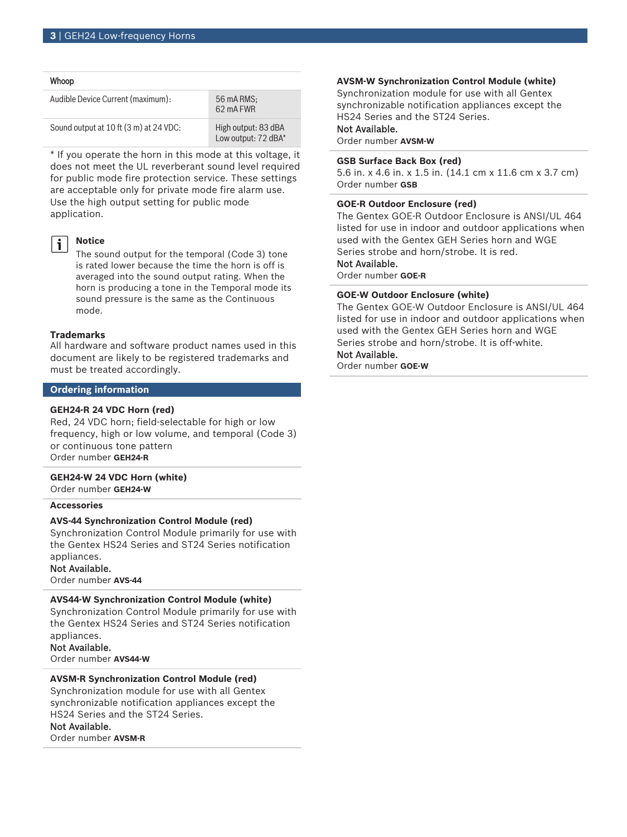| Whoop                                  |                                            |
|----------------------------------------|--------------------------------------------|
| Audible Device Current (maximum):      | 56 mA RMS:<br>62 mA FWR                    |
| Sound output at 10 ft (3 m) at 24 VDC: | High output: 83 dBA<br>Low output: 72 dBA* |

\* If you operate the horn in this mode at this voltage, it does not meet the UL reverberant sound level required for public mode fire protection service. These settings are acceptable only for private mode fire alarm use. Use the high output setting for public mode application.

# $\mathbf i$

**Notice**

The sound output for the temporal (Code 3) tone is rated lower because the time the horn is off is averaged into the sound output rating. When the horn is producing a tone in the Temporal mode its sound pressure is the same as the Continuous mode.

#### **Trademarks**

All hardware and software product names used in this document are likely to be registered trademarks and must be treated accordingly.

#### **Ordering information**

### **GEH24‑R 24 VDC Horn (red)**

Red, 24 VDC horn; field-selectable for high or low frequency, high or low volume, and temporal (Code 3) or continuous tone pattern Order number **GEH24-R**

#### **GEH24‑W 24 VDC Horn (white)**

Order number **GEH24-W**

## **Accessories**

#### **AVS‑44 Synchronization Control Module (red)**

Synchronization Control Module primarily for use with the Gentex HS24 Series and ST24 Series notification appliances.

#### Not Available.

Order number **AVS-44**

#### **AVS44‑W Synchronization Control Module (white)**

Synchronization Control Module primarily for use with the Gentex HS24 Series and ST24 Series notification appliances.

Not Available.

Order number **AVS44-W**

# **AVSM‑R Synchronization Control Module (red)**

Synchronization module for use with all Gentex synchronizable notification appliances except the HS24 Series and the ST24 Series.

#### Not Available.

Order number **AVSM-R**

#### **AVSM‑W Synchronization Control Module (white)**

Synchronization module for use with all Gentex synchronizable notification appliances except the HS24 Series and the ST24 Series.

# Not Available.

Order number **AVSM-W**

#### **GSB Surface Back Box (red)**

5.6 in. x 4.6 in. x 1.5 in. (14.1 cm x 11.6 cm x 3.7 cm) Order number **GSB**

#### **GOE‑R Outdoor Enclosure (red)**

The Gentex GOE-R Outdoor Enclosure is ANSI/UL 464 listed for use in indoor and outdoor applications when used with the Gentex GEH Series horn and WGE Series strobe and horn/strobe. It is red.

# Not Available.

Order number **GOE-R**

#### **GOE‑W Outdoor Enclosure (white)**

The Gentex GOE-W Outdoor Enclosure is ANSI/UL 464 listed for use in indoor and outdoor applications when used with the Gentex GEH Series horn and WGE Series strobe and horn/strobe. It is off-white.

### Not Available.

Order number **GOE-W**